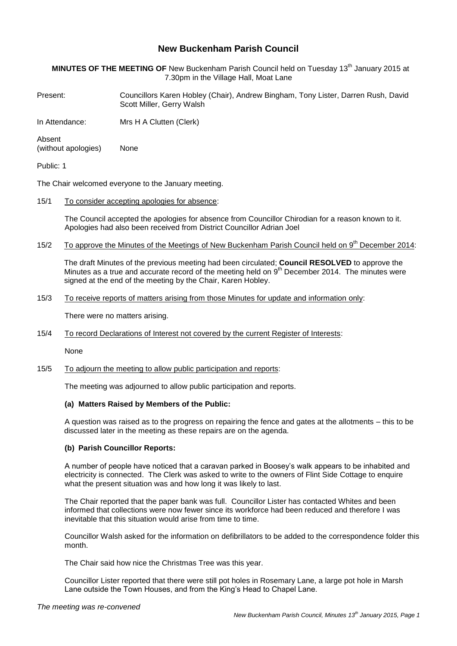# **New Buckenham Parish Council**

**MINUTES OF THE MEETING OF** New Buckenham Parish Council held on Tuesday 13th January 2015 at 7.30pm in the Village Hall, Moat Lane

Present: Councillors Karen Hobley (Chair), Andrew Bingham, Tony Lister, Darren Rush, David Scott Miller, Gerry Walsh

In Attendance: Mrs H A Clutten (Clerk)

Absent (without apologies) None

Public: 1

The Chair welcomed everyone to the January meeting.

15/1 To consider accepting apologies for absence:

The Council accepted the apologies for absence from Councillor Chirodian for a reason known to it. Apologies had also been received from District Councillor Adrian Joel

15/2 To approve the Minutes of the Meetings of New Buckenham Parish Council held on 9<sup>th</sup> December 2014:

The draft Minutes of the previous meeting had been circulated; **Council RESOLVED** to approve the Minutes as a true and accurate record of the meeting held on  $9<sup>th</sup>$  December 2014. The minutes were signed at the end of the meeting by the Chair, Karen Hobley.

# 15/3 To receive reports of matters arising from those Minutes for update and information only:

There were no matters arising.

15/4 To record Declarations of Interest not covered by the current Register of Interests:

None

#### 15/5 To adjourn the meeting to allow public participation and reports:

The meeting was adjourned to allow public participation and reports.

#### **(a) Matters Raised by Members of the Public:**

A question was raised as to the progress on repairing the fence and gates at the allotments – this to be discussed later in the meeting as these repairs are on the agenda.

## **(b) Parish Councillor Reports:**

A number of people have noticed that a caravan parked in Boosey's walk appears to be inhabited and electricity is connected. The Clerk was asked to write to the owners of Flint Side Cottage to enquire what the present situation was and how long it was likely to last.

The Chair reported that the paper bank was full. Councillor Lister has contacted Whites and been informed that collections were now fewer since its workforce had been reduced and therefore I was inevitable that this situation would arise from time to time.

Councillor Walsh asked for the information on defibrillators to be added to the correspondence folder this month.

The Chair said how nice the Christmas Tree was this year.

Councillor Lister reported that there were still pot holes in Rosemary Lane, a large pot hole in Marsh Lane outside the Town Houses, and from the King's Head to Chapel Lane.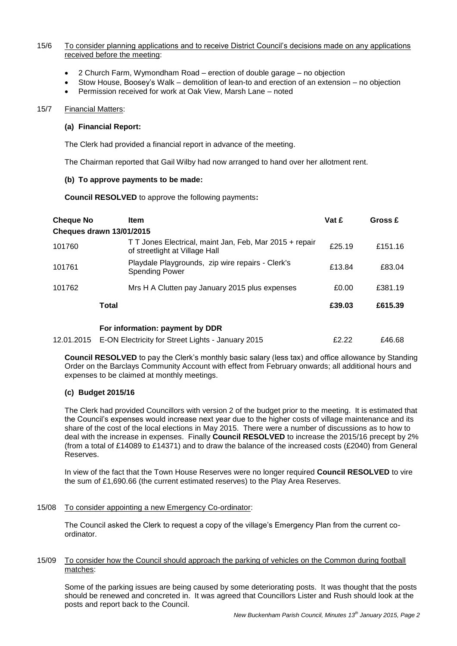# 15/6 To consider planning applications and to receive District Council's decisions made on any applications received before the meeting:

- 2 Church Farm, Wymondham Road erection of double garage no objection
- Stow House, Boosey's Walk demolition of lean-to and erection of an extension no objection
- Permission received for work at Oak View, Marsh Lane noted

#### 15/7 Financial Matters:

## **(a) Financial Report:**

The Clerk had provided a financial report in advance of the meeting.

The Chairman reported that Gail Wilby had now arranged to hand over her allotment rent.

## **(b) To approve payments to be made:**

**Council RESOLVED** to approve the following payments**:**

| <b>Cheque No</b> | <b>Item</b>                                                                               | Vat £  | Gross £ |
|------------------|-------------------------------------------------------------------------------------------|--------|---------|
|                  | Cheques drawn 13/01/2015                                                                  |        |         |
| 101760           | T T Jones Electrical, maint Jan, Feb, Mar 2015 + repair<br>of streetlight at Village Hall | £25.19 | £151.16 |
| 101761           | Playdale Playgrounds, zip wire repairs - Clerk's<br><b>Spending Power</b>                 | £13.84 | £83.04  |
| 101762           | Mrs H A Clutten pay January 2015 plus expenses                                            | £0.00  | £381.19 |
|                  | Total                                                                                     | £39.03 | £615.39 |
|                  | For information: payment by DDR                                                           |        |         |
| 12.01.2015       | E-ON Electricity for Street Lights - January 2015                                         | £2.22  | £46.68  |

**Council RESOLVED** to pay the Clerk's monthly basic salary (less tax) and office allowance by Standing Order on the Barclays Community Account with effect from February onwards; all additional hours and expenses to be claimed at monthly meetings.

# **(c) Budget 2015/16**

The Clerk had provided Councillors with version 2 of the budget prior to the meeting. It is estimated that the Council's expenses would increase next year due to the higher costs of village maintenance and its share of the cost of the local elections in May 2015. There were a number of discussions as to how to deal with the increase in expenses. Finally **Council RESOLVED** to increase the 2015/16 precept by 2% (from a total of £14089 to £14371) and to draw the balance of the increased costs (£2040) from General Reserves.

In view of the fact that the Town House Reserves were no longer required **Council RESOLVED** to vire the sum of £1,690.66 (the current estimated reserves) to the Play Area Reserves.

#### 15/08 To consider appointing a new Emergency Co-ordinator:

The Council asked the Clerk to request a copy of the village's Emergency Plan from the current coordinator.

#### 15/09 To consider how the Council should approach the parking of vehicles on the Common during football matches:

Some of the parking issues are being caused by some deteriorating posts. It was thought that the posts should be renewed and concreted in. It was agreed that Councillors Lister and Rush should look at the posts and report back to the Council.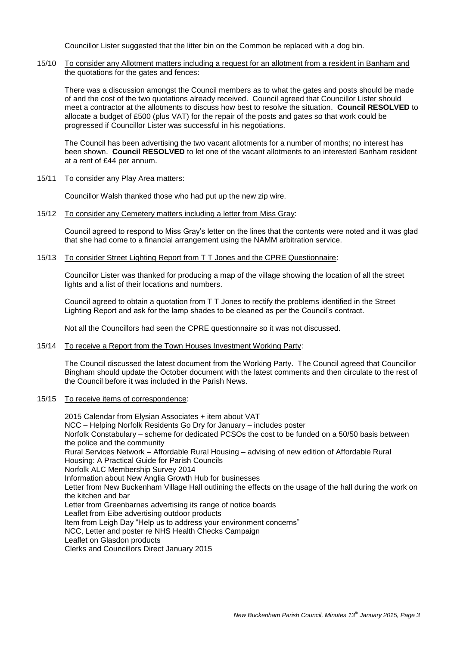Councillor Lister suggested that the litter bin on the Common be replaced with a dog bin.

15/10 To consider any Allotment matters including a request for an allotment from a resident in Banham and the quotations for the gates and fences:

There was a discussion amongst the Council members as to what the gates and posts should be made of and the cost of the two quotations already received. Council agreed that Councillor Lister should meet a contractor at the allotments to discuss how best to resolve the situation. **Council RESOLVED** to allocate a budget of £500 (plus VAT) for the repair of the posts and gates so that work could be progressed if Councillor Lister was successful in his negotiations.

The Council has been advertising the two vacant allotments for a number of months; no interest has been shown. **Council RESOLVED** to let one of the vacant allotments to an interested Banham resident at a rent of £44 per annum.

15/11 To consider any Play Area matters:

Councillor Walsh thanked those who had put up the new zip wire.

15/12 To consider any Cemetery matters including a letter from Miss Gray:

Council agreed to respond to Miss Gray's letter on the lines that the contents were noted and it was glad that she had come to a financial arrangement using the NAMM arbitration service.

15/13 To consider Street Lighting Report from T T Jones and the CPRE Questionnaire:

Councillor Lister was thanked for producing a map of the village showing the location of all the street lights and a list of their locations and numbers.

Council agreed to obtain a quotation from T T Jones to rectify the problems identified in the Street Lighting Report and ask for the lamp shades to be cleaned as per the Council's contract.

Not all the Councillors had seen the CPRE questionnaire so it was not discussed.

15/14 To receive a Report from the Town Houses Investment Working Party:

The Council discussed the latest document from the Working Party. The Council agreed that Councillor Bingham should update the October document with the latest comments and then circulate to the rest of the Council before it was included in the Parish News.

#### 15/15 To receive items of correspondence:

2015 Calendar from Elysian Associates + item about VAT NCC – Helping Norfolk Residents Go Dry for January – includes poster Norfolk Constabulary – scheme for dedicated PCSOs the cost to be funded on a 50/50 basis between the police and the community Rural Services Network – Affordable Rural Housing – advising of new edition of Affordable Rural Housing: A Practical Guide for Parish Councils Norfolk ALC Membership Survey 2014 Information about New Anglia Growth Hub for businesses Letter from New Buckenham Village Hall outlining the effects on the usage of the hall during the work on the kitchen and bar Letter from Greenbarnes advertising its range of notice boards Leaflet from Eibe advertising outdoor products Item from Leigh Day "Help us to address your environment concerns" NCC, Letter and poster re NHS Health Checks Campaign Leaflet on Glasdon products Clerks and Councillors Direct January 2015